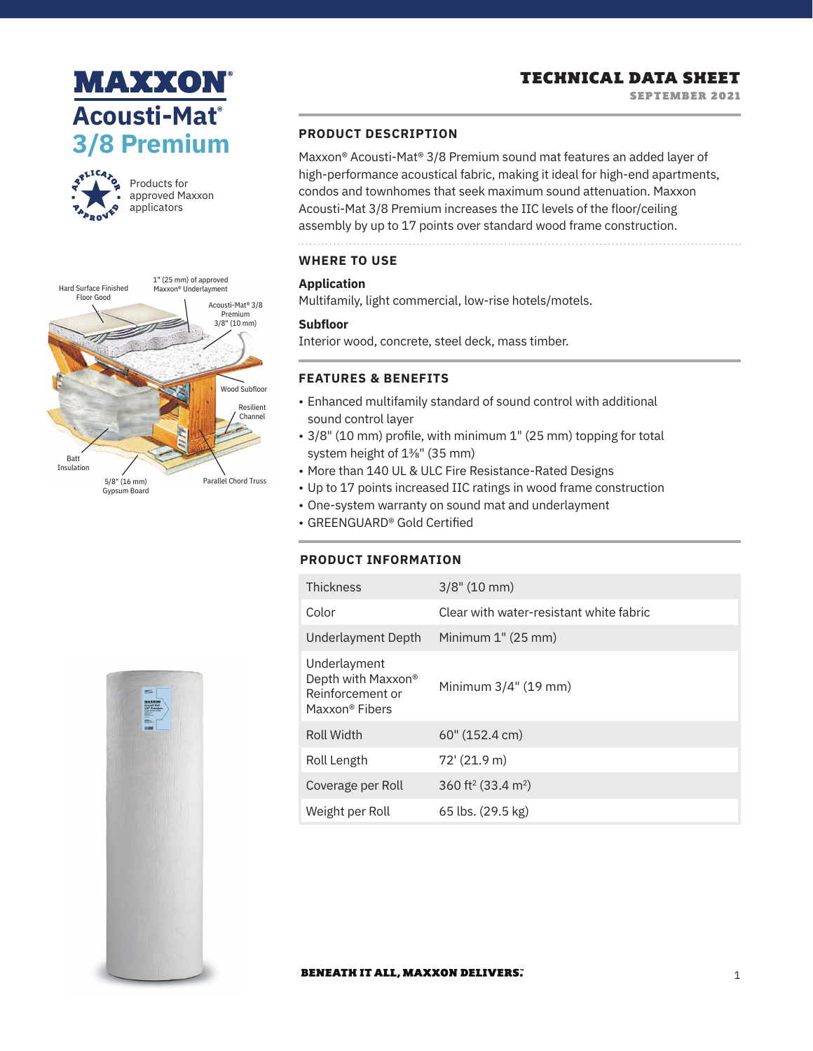# **MAXXON® Acousti-Mat® 3/8 Premium**



Products for approved Maxxon applicators



# TECHNICAL DATA SHEET

SEPTEMBER 2021

# **PRODUCT DESCRIPTION**

Maxxon® Acousti-Mat® 3/8 Premium sound mat features an added layer of high-performance acoustical fabric, making it ideal for high-end apartments, condos and townhomes that seek maximum sound attenuation. Maxxon Acousti-Mat 3/8 Premium increases the IIC levels of the floor/ceiling assembly by up to 17 points over standard wood frame construction.

# **WHERE TO USE**

### **Application**

Multifamily, light commercial, low-rise hotels/motels.

#### **Subfloor**

Interior wood, concrete, steel deck, mass timber.

#### **FEATURES & BENEFITS**

- Enhanced multifamily standard of sound control with additional sound control layer
- 3/8" (10 mm) profile, with minimum 1" (25 mm) topping for total system height of 13/8" (35 mm)
- More than 140 UL & ULC Fire Resistance-Rated Designs
- Up to 17 points increased IIC ratings in wood frame construction
- One-system warranty on sound mat and underlayment
- GREENGUARD® Gold Certified

#### **PRODUCT INFORMATION**

| <b>Thickness</b>                                                         | $3/8$ " (10 mm)                            |
|--------------------------------------------------------------------------|--------------------------------------------|
| Color                                                                    | Clear with water-resistant white fabric    |
| Underlayment Depth                                                       | Minimum 1" (25 mm)                         |
| Underlayment<br>Depth with Maxxon®<br>Reinforcement or<br>Maxxon® Fibers | Minimum 3/4" (19 mm)                       |
| <b>Roll Width</b>                                                        | $60''$ (152.4 cm)                          |
| Roll Length                                                              | $72'$ (21.9 m)                             |
| Coverage per Roll                                                        | 360 ft <sup>2</sup> (33.4 m <sup>2</sup> ) |
| Weight per Roll                                                          | 65 lbs. (29.5 kg)                          |



#### **BENEATH IT ALL, MAXXON DELIVERS.**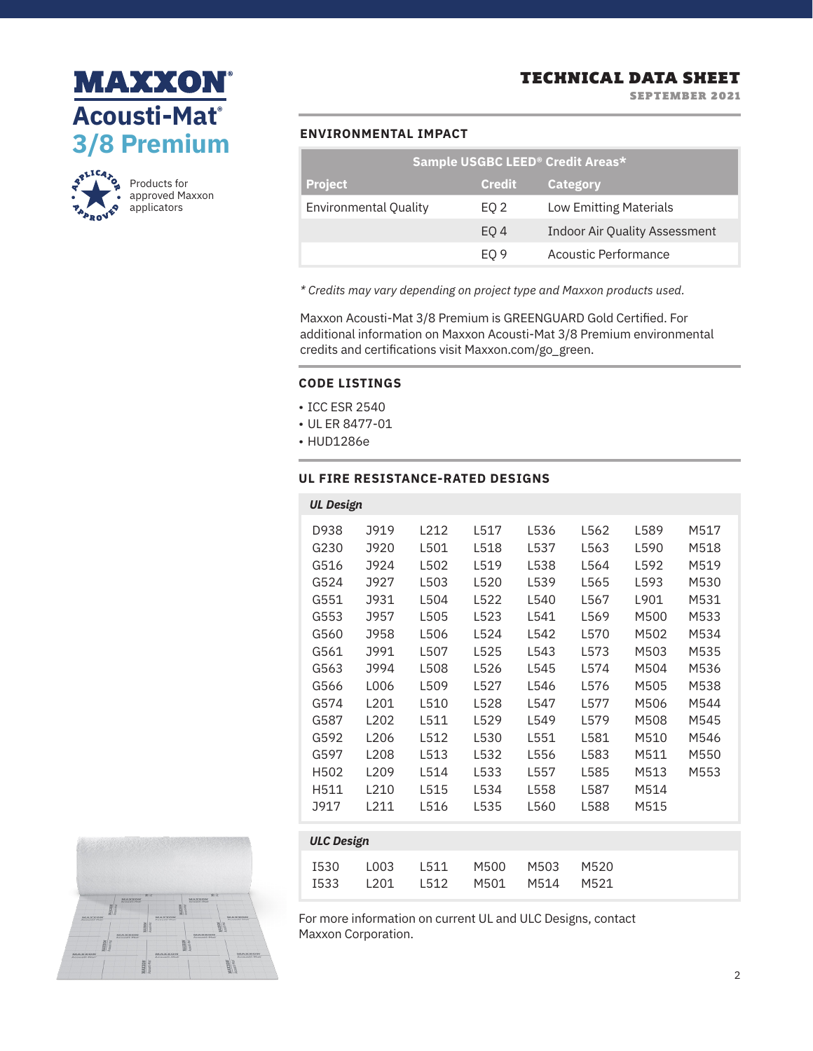



Products for approved Maxxon applicators

| Sample USGBC LEED <sup>®</sup> Credit Areas* |               |                                      |  |  |  |  |
|----------------------------------------------|---------------|--------------------------------------|--|--|--|--|
| <b>Project</b>                               | <b>Credit</b> | Category                             |  |  |  |  |
| <b>Environmental Quality</b>                 | EQ 2          | <b>Low Emitting Materials</b>        |  |  |  |  |
|                                              | EO 4          | <b>Indoor Air Quality Assessment</b> |  |  |  |  |
|                                              | EO 9          | Acoustic Performance                 |  |  |  |  |

*\* Credits may vary depending on project type and Maxxon products used.*

Maxxon Acousti-Mat 3/8 Premium is GREENGUARD Gold Certified. For additional information on Maxxon Acousti-Mat 3/8 Premium environmental credits and certifications visit Maxxon.com/go\_green.

#### **CODE LISTINGS**

- ICC ESR 2540
- UL ER 8477-01
- HUD1286e

I533

L201

#### **UL FIRE RESISTANCE-RATED DESIGNS**

| <b>UL Design</b>  |                  |      |      |      |      |      |      |
|-------------------|------------------|------|------|------|------|------|------|
| D938              | J919             | L212 | L517 | L536 | L562 | L589 | M517 |
| G230              | J920             | L501 | L518 | L537 | L563 | L590 | M518 |
| G516              | J924             | L502 | L519 | L538 | L564 | L592 | M519 |
| G524              | J927             | L503 | L520 | L539 | L565 | L593 | M530 |
| G551              | J931             | L504 | L522 | L540 | L567 | L901 | M531 |
| G553              | J957             | L505 | L523 | L541 | L569 | M500 | M533 |
| G560              | J958             | L506 | L524 | L542 | L570 | M502 | M534 |
| G561              | J991             | L507 | L525 | L543 | L573 | M503 | M535 |
| G563              | J994             | L508 | L526 | L545 | L574 | M504 | M536 |
| G566              | L006             | L509 | L527 | L546 | L576 | M505 | M538 |
| G574              | L201             | L510 | L528 | L547 | L577 | M506 | M544 |
| G587              | L <sub>202</sub> | L511 | L529 | L549 | L579 | M508 | M545 |
| G592              | L <sub>206</sub> | L512 | L530 | L551 | L581 | M510 | M546 |
| G597              | L208             | L513 | L532 | L556 | L583 | M511 | M550 |
| H502              | L <sub>209</sub> | L514 | L533 | L557 | L585 | M513 | M553 |
| H511              | L210             | L515 | L534 | L558 | L587 | M514 |      |
| J917              | L211             | L516 | L535 | L560 | L588 | M515 |      |
|                   |                  |      |      |      |      |      |      |
| <b>ULC Design</b> |                  |      |      |      |      |      |      |
| <b>I530</b>       | L003             | L511 | M500 | M503 | M520 |      |      |



For more information on current UL and ULC Designs, contact Maxxon Corporation.

M501

M514

M521

L512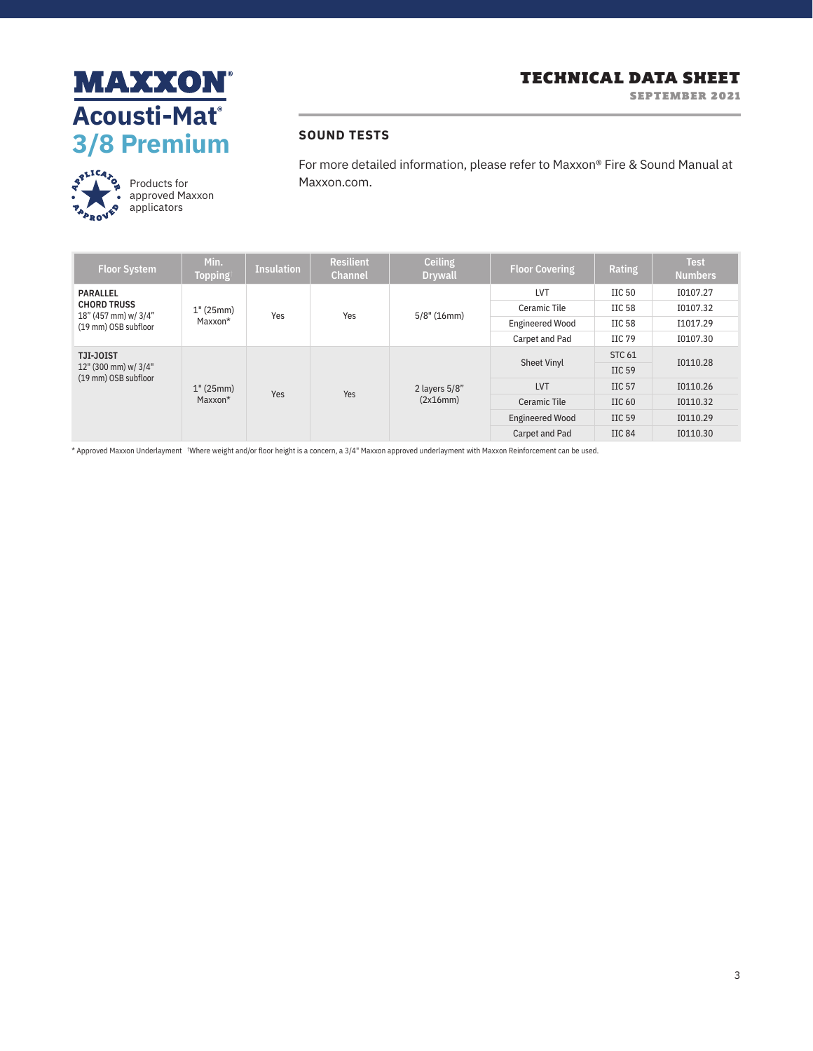





Products for approved Maxxon applicators

For more detailed information, please refer to Maxxon® Fire & Sound Manual at Maxxon.com.

| <b>Floor System</b>                                                            | Min.<br><b>Topping</b> | <b>Insulation</b> | <b>Resilient</b><br><b>Channel</b> | <b>Ceiling</b><br><b>Drywall</b> | <b>Floor Covering</b>  | Rating            | <b>Test</b><br><b>Numbers</b> |
|--------------------------------------------------------------------------------|------------------------|-------------------|------------------------------------|----------------------------------|------------------------|-------------------|-------------------------------|
| PARALLEL<br><b>CHORD TRUSS</b><br>18" (457 mm) w/ 3/4"<br>(19 mm) OSB subfloor | 1" (25mm)<br>Maxxon*   | Yes               | Yes                                | $5/8$ " (16mm)                   | LVT                    | HC <sub>50</sub>  | 10107.27                      |
|                                                                                |                        |                   |                                    |                                  | Ceramic Tile           | IIC 58            | 10107.32                      |
|                                                                                |                        |                   |                                    |                                  | <b>Engineered Wood</b> | IIC 58            | I1017.29                      |
|                                                                                |                        |                   |                                    |                                  | Carpet and Pad         | HC79              | 10107.30                      |
| TJI-JOIST<br>12" (300 mm) w/ 3/4"<br>(19 mm) OSB subfloor                      | 1" (25mm)<br>Maxxon*   | Yes               | Yes                                | 2 layers 5/8"<br>(2x16mm)        | <b>Sheet Vinyl</b>     | <b>STC 61</b>     | 10110.28                      |
|                                                                                |                        |                   |                                    |                                  |                        | $\text{IIC}59$    |                               |
|                                                                                |                        |                   |                                    |                                  | LVT                    | HC <sub>57</sub>  | 10110.26                      |
|                                                                                |                        |                   |                                    |                                  | <b>Ceramic Tile</b>    | IIC <sub>60</sub> | 10110.32                      |
|                                                                                |                        |                   |                                    |                                  | <b>Engineered Wood</b> | IIC 59            | I0110.29                      |
|                                                                                |                        |                   |                                    |                                  | Carpet and Pad         | IIC 84            | 10110.30                      |

\* Approved Maxxon Underlayment † Where weight and/or floor height is a concern, a 3/4" Maxxon approved underlayment with Maxxon Reinforcement can be used.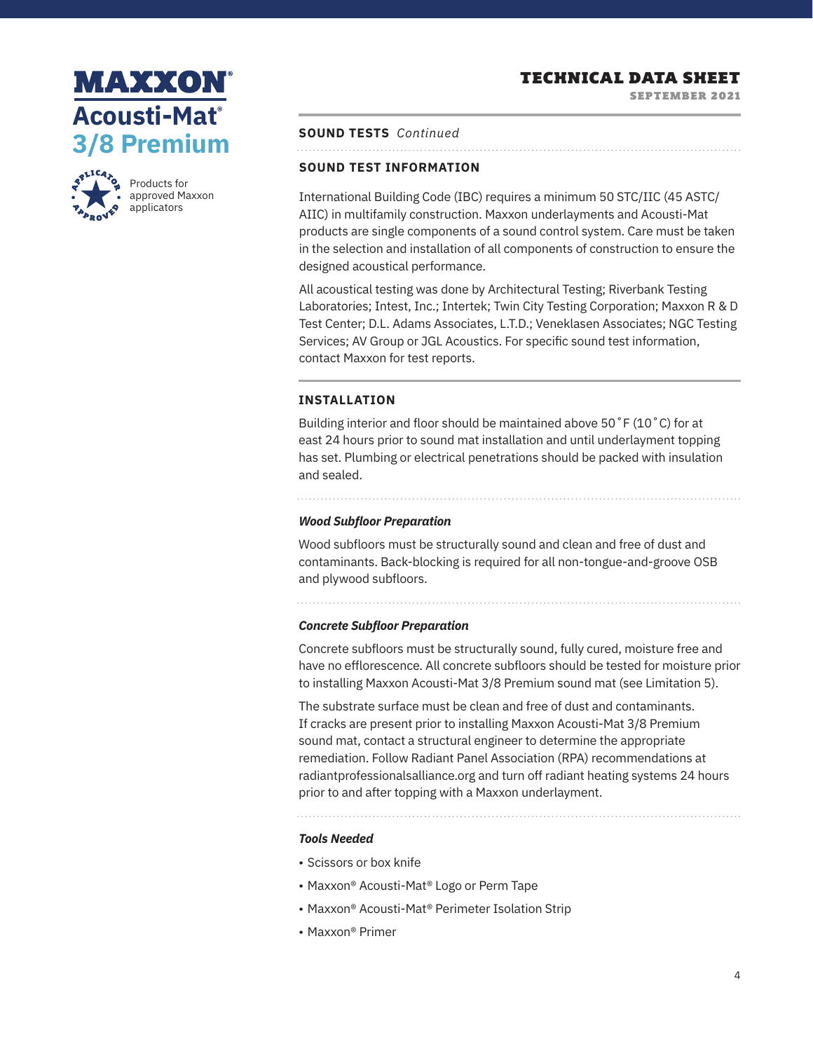SEPTEMBER 2021

# **MAXXON Acousti-Mat® 3/8 Premium**



Products for approved Maxxon applicators

**SOUND TESTS** *Continued* 

#### **SOUND TEST INFORMATION**

International Building Code (IBC) requires a minimum 50 STC/IIC (45 ASTC/ AIIC) in multifamily construction. Maxxon underlayments and Acousti-Mat products are single components of a sound control system. Care must be taken in the selection and installation of all components of construction to ensure the designed acoustical performance.

All acoustical testing was done by Architectural Testing; Riverbank Testing Laboratories; Intest, Inc.; Intertek; Twin City Testing Corporation; Maxxon R & D Test Center; D.L. Adams Associates, L.T.D.; Veneklasen Associates; NGC Testing Services; AV Group or JGL Acoustics. For specific sound test information, contact Maxxon for test reports.

#### **INSTALLATION**

Building interior and floor should be maintained above 50˚F (10˚C) for at east 24 hours prior to sound mat installation and until underlayment topping has set. Plumbing or electrical penetrations should be packed with insulation and sealed.

*Wood Subfloor Preparation* 

Wood subfloors must be structurally sound and clean and free of dust and contaminants. Back-blocking is required for all non-tongue-and-groove OSB and plywood subfloors.

#### *Concrete Subfloor Preparation*

Concrete subfloors must be structurally sound, fully cured, moisture free and have no efflorescence. All concrete subfloors should be tested for moisture prior to installing Maxxon Acousti-Mat 3/8 Premium sound mat (see Limitation 5).

The substrate surface must be clean and free of dust and contaminants. If cracks are present prior to installing Maxxon Acousti-Mat 3/8 Premium sound mat, contact a structural engineer to determine the appropriate remediation. Follow Radiant Panel Association (RPA) recommendations at radiantprofessionalsalliance.org and turn off radiant heating systems 24 hours prior to and after topping with a Maxxon underlayment.

# *Tools Needed*

- Scissors or box knife
- Maxxon® Acousti-Mat® Logo or Perm Tape
- Maxxon® Acousti-Mat® Perimeter Isolation Strip
- Maxxon® Primer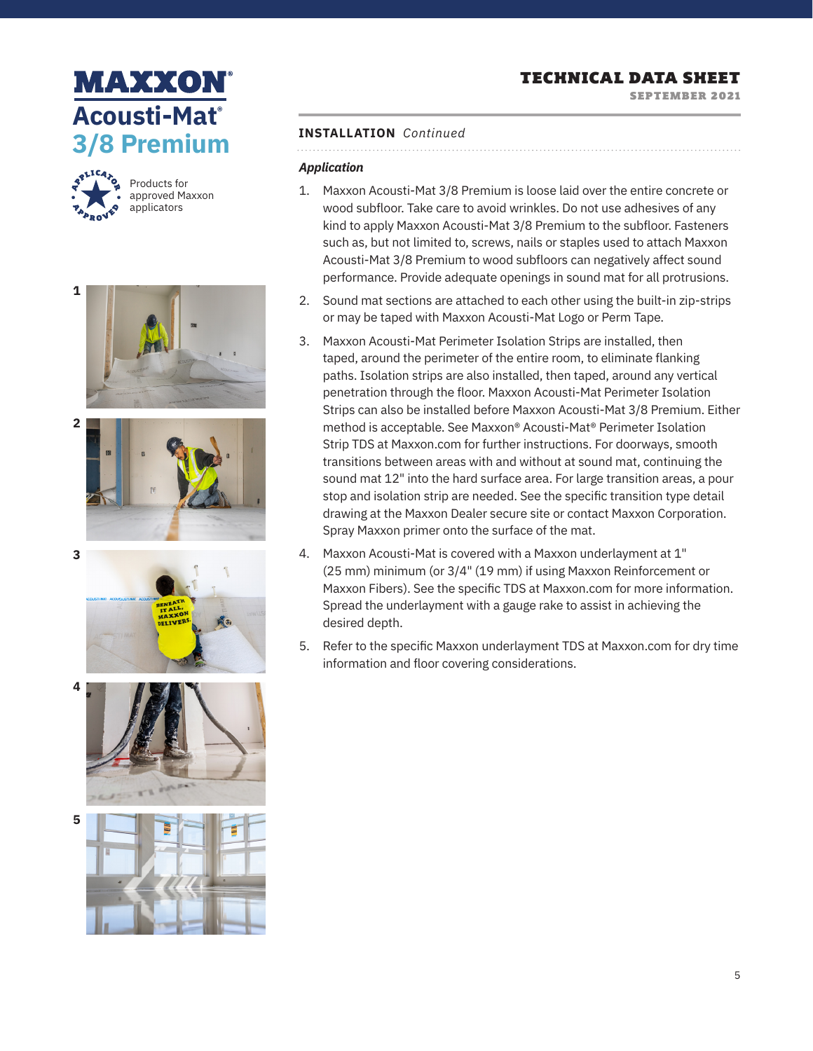SEPTEMBER 2021

# **MAXXON Acousti-Mat® 3/8 Premium**



Products for approved Maxxon applicators











**5**

#### **INSTALLATION** *Continued*

# *Application*

- 1. Maxxon Acousti-Mat 3/8 Premium is loose laid over the entire concrete or wood subfloor. Take care to avoid wrinkles. Do not use adhesives of any kind to apply Maxxon Acousti-Mat 3/8 Premium to the subfloor. Fasteners such as, but not limited to, screws, nails or staples used to attach Maxxon Acousti-Mat 3/8 Premium to wood subfloors can negatively affect sound performance. Provide adequate openings in sound mat for all protrusions.
- 2. Sound mat sections are attached to each other using the built-in zip-strips or may be taped with Maxxon Acousti-Mat Logo or Perm Tape.
- 3. Maxxon Acousti-Mat Perimeter Isolation Strips are installed, then taped, around the perimeter of the entire room, to eliminate flanking paths. Isolation strips are also installed, then taped, around any vertical penetration through the floor. Maxxon Acousti-Mat Perimeter Isolation Strips can also be installed before Maxxon Acousti-Mat 3/8 Premium. Either method is acceptable. See Maxxon® Acousti-Mat® Perimeter Isolation Strip TDS at Maxxon.com for further instructions. For doorways, smooth transitions between areas with and without at sound mat, continuing the sound mat 12" into the hard surface area. For large transition areas, a pour stop and isolation strip are needed. See the specific transition type detail drawing at the Maxxon Dealer secure site or contact Maxxon Corporation. Spray Maxxon primer onto the surface of the mat.
- 4. Maxxon Acousti-Mat is covered with a Maxxon underlayment at 1" (25 mm) minimum (or 3/4" (19 mm) if using Maxxon Reinforcement or Maxxon Fibers). See the specific TDS at Maxxon.com for more information. Spread the underlayment with a gauge rake to assist in achieving the desired depth.
- 5. Refer to the specific Maxxon underlayment TDS at Maxxon.com for dry time information and floor covering considerations.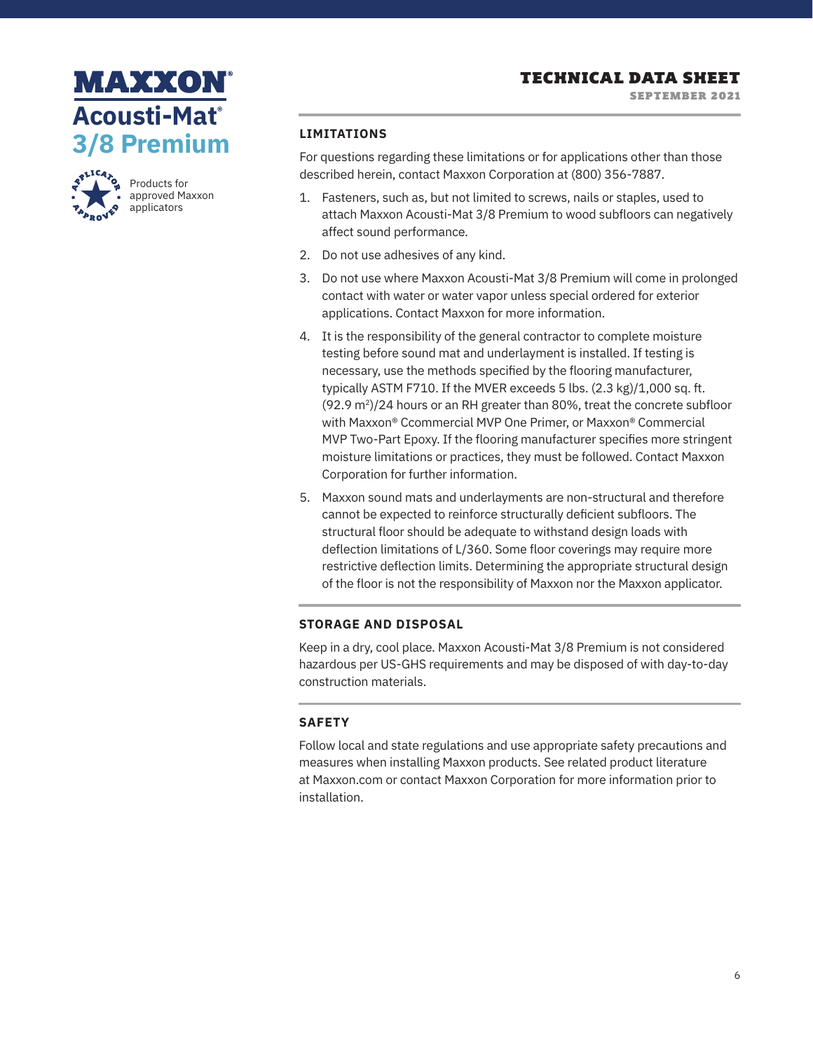



Products for approved Maxxon applicators

#### **LIMITATIONS**

For questions regarding these limitations or for applications other than those described herein, contact Maxxon Corporation at (800) 356-7887.

- 1. Fasteners, such as, but not limited to screws, nails or staples, used to attach Maxxon Acousti-Mat 3/8 Premium to wood subfloors can negatively affect sound performance.
- 2. Do not use adhesives of any kind.
- 3. Do not use where Maxxon Acousti-Mat 3/8 Premium will come in prolonged contact with water or water vapor unless special ordered for exterior applications. Contact Maxxon for more information.
- 4. It is the responsibility of the general contractor to complete moisture testing before sound mat and underlayment is installed. If testing is necessary, use the methods specified by the flooring manufacturer, typically ASTM F710. If the MVER exceeds 5 lbs. (2.3 kg)/1,000 sq. ft. (92.9 m2)/24 hours or an RH greater than 80%, treat the concrete subfloor with Maxxon® Ccommercial MVP One Primer, or Maxxon® Commercial MVP Two-Part Epoxy. If the flooring manufacturer specifies more stringent moisture limitations or practices, they must be followed. Contact Maxxon Corporation for further information.
- 5. Maxxon sound mats and underlayments are non-structural and therefore cannot be expected to reinforce structurally deficient subfloors. The structural floor should be adequate to withstand design loads with deflection limitations of L/360. Some floor coverings may require more restrictive deflection limits. Determining the appropriate structural design of the floor is not the responsibility of Maxxon nor the Maxxon applicator.

#### **STORAGE AND DISPOSAL**

Keep in a dry, cool place. Maxxon Acousti-Mat 3/8 Premium is not considered hazardous per US-GHS requirements and may be disposed of with day-to-day construction materials.

#### **SAFETY**

Follow local and state regulations and use appropriate safety precautions and measures when installing Maxxon products. See related product literature at Maxxon.com or contact Maxxon Corporation for more information prior to installation.